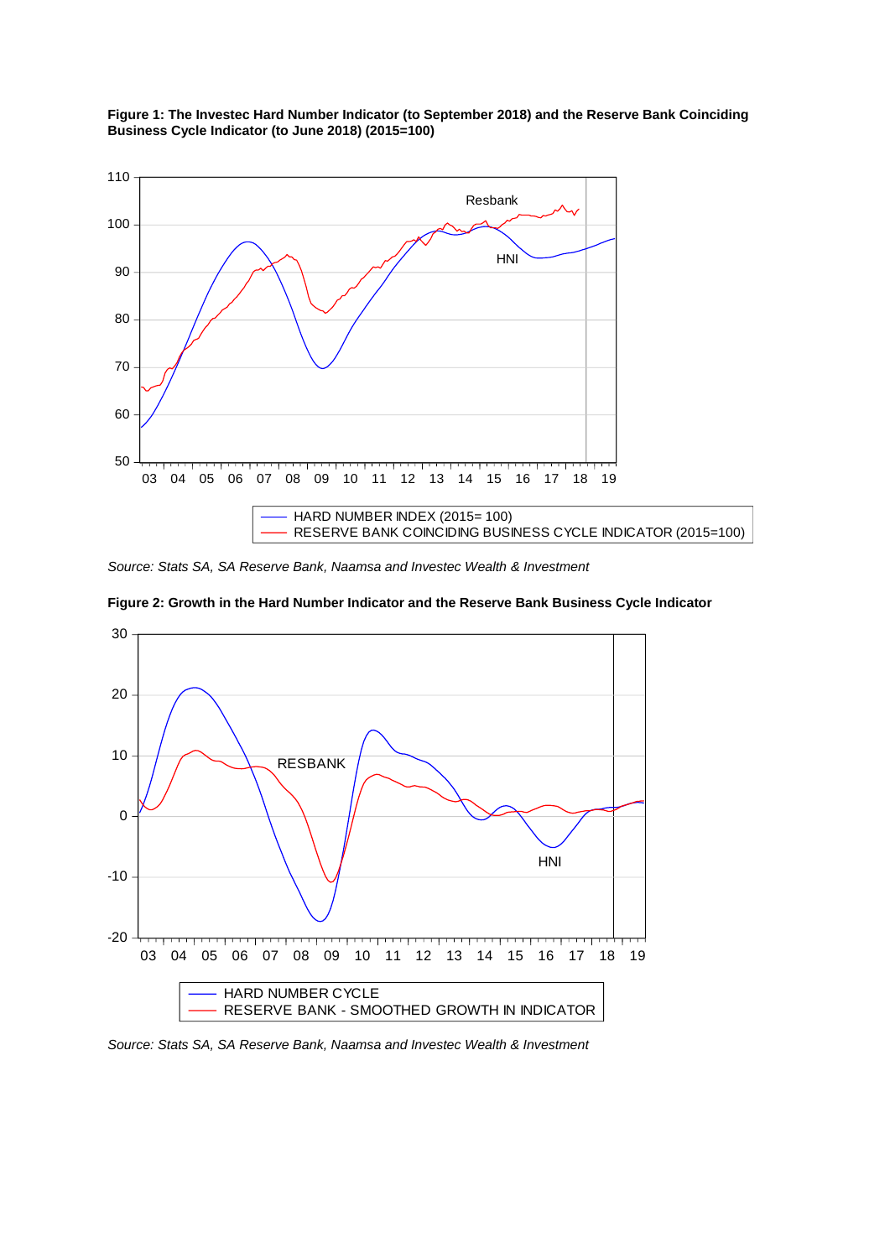

**Figure 1: The Investec Hard Number Indicator (to September 2018) and the Reserve Bank Coinciding Business Cycle Indicator (to June 2018) (2015=100)**

*Source: Stats SA, SA Reserve Bank, Naamsa and Investec Wealth & Investment* 



**Figure 2: Growth in the Hard Number Indicator and the Reserve Bank Business Cycle Indicator**

*Source: Stats SA, SA Reserve Bank, Naamsa and Investec Wealth & Investment*